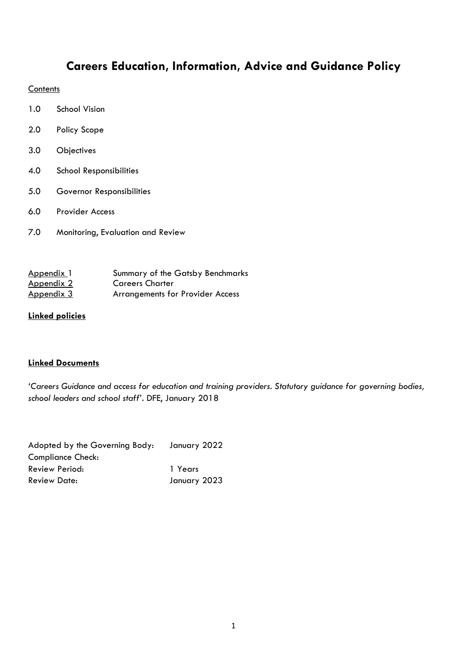## **Careers Education, Information, Advice and Guidance Policy**

## **Contents**

- 1.0 School Vision
- 2.0 Policy Scope
- 3.0 Objectives
- 4.0 School Responsibilities
- 5.0 Governor Responsibilities
- 6.0 Provider Access
- 7.0 Monitoring, Evaluation and Review

| Appendix 1        | Summary of the Gatsby Benchmarks        |
|-------------------|-----------------------------------------|
| Appendix 2        | <b>Careers Charter</b>                  |
| <u>Appendix 3</u> | <b>Arrangements for Provider Access</b> |

## **Linked policies**

## **Linked Documents**

*'Careers Guidance and access for education and training providers. Statutory guidance for governing bodies, school leaders and school staff'*. DFE, January 2018

| Adopted by the Governing Body: | January 2022 |  |  |  |
|--------------------------------|--------------|--|--|--|
| Compliance Check:              |              |  |  |  |
| Review Period:                 | 1 Years      |  |  |  |
| <b>Review Date:</b>            | January 2023 |  |  |  |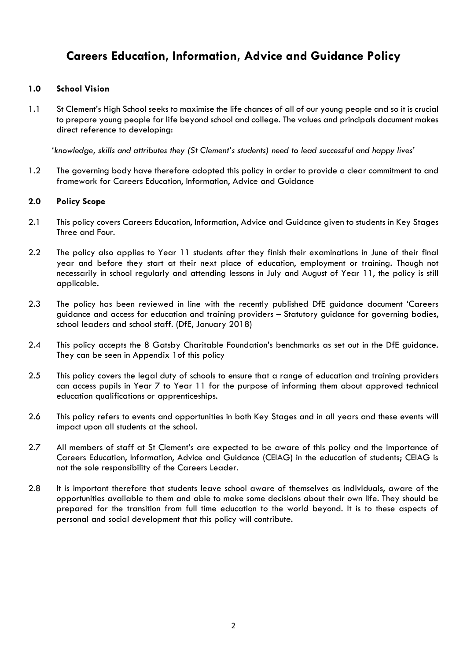## **Careers Education, Information, Advice and Guidance Policy**

### **1.0 School Vision**

1.1 St Clement's High School seeks to maximise the life chances of all of our young people and so it is crucial to prepare young people for life beyond school and college. The values and principals document makes direct reference to developing:

*'knowledge, skills and attributes they (St Clement's students) need to lead successful and happy lives'*

1.2 The governing body have therefore adopted this policy in order to provide a clear commitment to and framework for Careers Education, Information, Advice and Guidance

#### **2.0 Policy Scope**

- 2.1 This policy covers Careers Education, Information, Advice and Guidance given to students in Key Stages Three and Four.
- 2.2 The policy also applies to Year 11 students after they finish their examinations in June of their final year and before they start at their next place of education, employment or training. Though not necessarily in school regularly and attending lessons in July and August of Year 11, the policy is still applicable.
- 2.3 The policy has been reviewed in line with the recently published DfE guidance document 'Careers guidance and access for education and training providers – Statutory guidance for governing bodies, school leaders and school staff. (DfE, January 2018)
- 2.4 This policy accepts the 8 Gatsby Charitable Foundation's benchmarks as set out in the DfE guidance. They can be seen in Appendix 1of this policy
- 2.5 This policy covers the legal duty of schools to ensure that a range of education and training providers can access pupils in Year 7 to Year 11 for the purpose of informing them about approved technical education qualifications or apprenticeships.
- 2.6 This policy refers to events and opportunities in both Key Stages and in all years and these events will impact upon all students at the school.
- 2.7 All members of staff at St Clement's are expected to be aware of this policy and the importance of Careers Education, Information, Advice and Guidance (CEIAG) in the education of students; CEIAG is not the sole responsibility of the Careers Leader.
- 2.8 It is important therefore that students leave school aware of themselves as individuals, aware of the opportunities available to them and able to make some decisions about their own life. They should be prepared for the transition from full time education to the world beyond. It is to these aspects of personal and social development that this policy will contribute.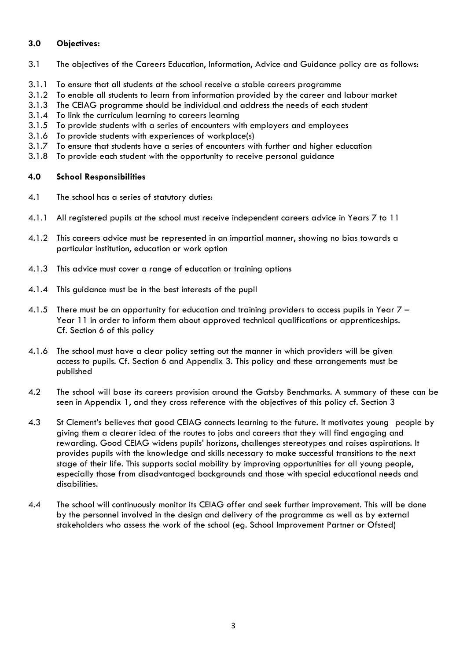### **3.0 Objectives:**

- 3.1 The objectives of the Careers Education, Information, Advice and Guidance policy are as follows:
- 3.1.1 To ensure that all students at the school receive a stable careers programme
- 3.1.2 To enable all students to learn from information provided by the career and labour market
- 3.1.3 The CEIAG programme should be individual and address the needs of each student
- 3.1.4 To link the curriculum learning to careers learning
- 3.1.5 To provide students with a series of encounters with employers and employees
- 3.1.6 To provide students with experiences of workplace(s)
- 3.1.7 To ensure that students have a series of encounters with further and higher education
- 3.1.8 To provide each student with the opportunity to receive personal guidance

#### **4.0 School Responsibilities**

- 4.1 The school has a series of statutory duties:
- 4.1.1 All registered pupils at the school must receive independent careers advice in Years 7 to 11
- 4.1.2 This careers advice must be represented in an impartial manner, showing no bias towards a particular institution, education or work option
- 4.1.3 This advice must cover a range of education or training options
- 4.1.4 This guidance must be in the best interests of the pupil
- 4.1.5 There must be an opportunity for education and training providers to access pupils in Year 7 Year 11 in order to inform them about approved technical qualifications or apprenticeships. Cf. Section 6 of this policy
- 4.1.6 The school must have a clear policy setting out the manner in which providers will be given access to pupils. Cf. Section 6 and Appendix 3. This policy and these arrangements must be published
- 4.2 The school will base its careers provision around the Gatsby Benchmarks. A summary of these can be seen in Appendix 1, and they cross reference with the objectives of this policy cf. Section 3
- 4.3 St Clement's believes that good CEIAG connects learning to the future. It motivates young people by giving them a clearer idea of the routes to jobs and careers that they will find engaging and rewarding. Good CEIAG widens pupils' horizons, challenges stereotypes and raises aspirations. It provides pupils with the knowledge and skills necessary to make successful transitions to the next stage of their life. This supports social mobility by improving opportunities for all young people, especially those from disadvantaged backgrounds and those with special educational needs and disabilities.
- 4.4 The school will continuously monitor its CEIAG offer and seek further improvement. This will be done by the personnel involved in the design and delivery of the programme as well as by external stakeholders who assess the work of the school (eg. School Improvement Partner or Ofsted)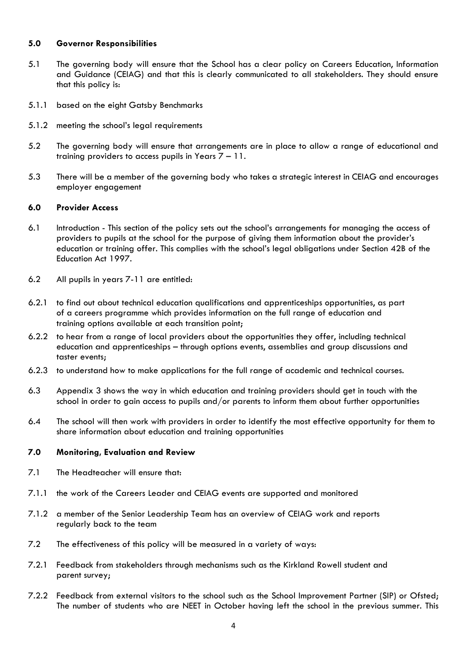#### **5.0 Governor Responsibilities**

- 5.1 The governing body will ensure that the School has a clear policy on Careers Education, Information and Guidance (CEIAG) and that this is clearly communicated to all stakeholders. They should ensure that this policy is:
- 5.1.1 based on the eight Gatsby Benchmarks
- 5.1.2 meeting the school's legal requirements
- 5.2 The governing body will ensure that arrangements are in place to allow a range of educational and training providers to access pupils in Years 7 – 11.
- 5.3 There will be a member of the governing body who takes a strategic interest in CEIAG and encourages employer engagement

#### **6.0 Provider Access**

- 6.1 Introduction This section of the policy sets out the school's arrangements for managing the access of providers to pupils at the school for the purpose of giving them information about the provider's education or training offer. This complies with the school's legal obligations under Section 42B of the Education Act 1997.
- 6.2 All pupils in years 7-11 are entitled:
- 6.2.1 to find out about technical education qualifications and apprenticeships opportunities, as part of a careers programme which provides information on the full range of education and training options available at each transition point;
- 6.2.2 to hear from a range of local providers about the opportunities they offer, including technical education and apprenticeships – through options events, assemblies and group discussions and taster events;
- 6.2.3 to understand how to make applications for the full range of academic and technical courses.
- 6.3 Appendix 3 shows the way in which education and training providers should get in touch with the school in order to gain access to pupils and/or parents to inform them about further opportunities
- 6.4 The school will then work with providers in order to identify the most effective opportunity for them to share information about education and training opportunities

#### **7.0 Monitoring, Evaluation and Review**

- 7.1 The Headteacher will ensure that:
- 7.1.1 the work of the Careers Leader and CEIAG events are supported and monitored
- 7.1.2 a member of the Senior Leadership Team has an overview of CEIAG work and reports regularly back to the team
- 7.2 The effectiveness of this policy will be measured in a variety of ways:
- 7.2.1 Feedback from stakeholders through mechanisms such as the Kirkland Rowell student and parent survey;
- 7.2.2 Feedback from external visitors to the school such as the School Improvement Partner (SIP) or Ofsted; The number of students who are NEET in October having left the school in the previous summer. This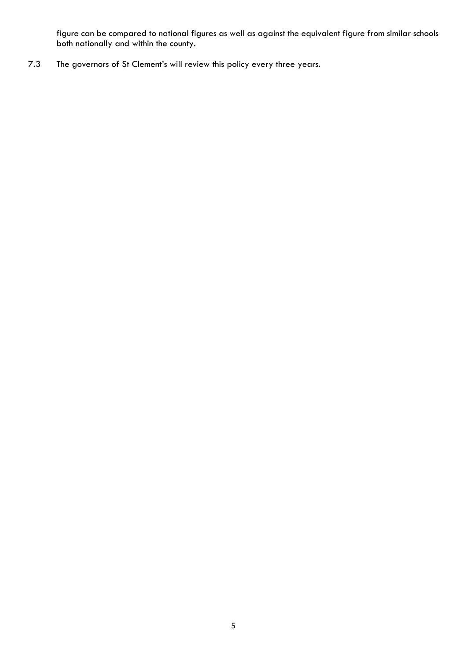figure can be compared to national figures as well as against the equivalent figure from similar schools both nationally and within the county.

7.3 The governors of St Clement's will review this policy every three years.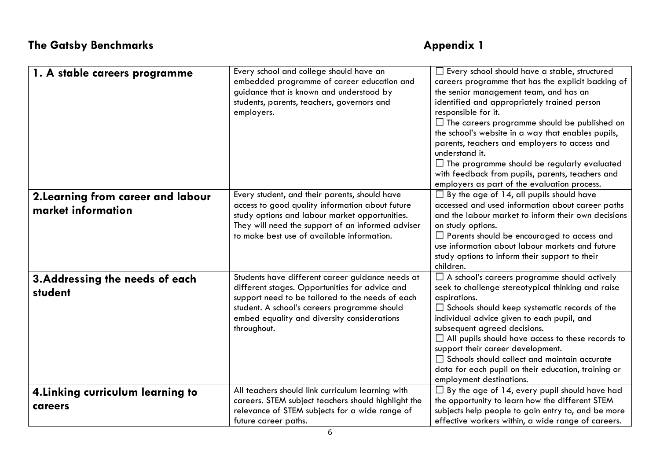| 1. A stable careers programme                            | Every school and college should have an<br>embedded programme of career education and<br>guidance that is known and understood by<br>students, parents, teachers, governors and<br>employers.                                                                        | $\Box$ Every school should have a stable, structured<br>careers programme that has the explicit backing of<br>the senior management team, and has an<br>identified and appropriately trained person<br>responsible for it.<br>$\Box$ The careers programme should be published on<br>the school's website in a way that enables pupils,<br>parents, teachers and employers to access and<br>understand it.<br>$\Box$ The programme should be regularly evaluated<br>with feedback from pupils, parents, teachers and<br>employers as part of the evaluation process. |
|----------------------------------------------------------|----------------------------------------------------------------------------------------------------------------------------------------------------------------------------------------------------------------------------------------------------------------------|----------------------------------------------------------------------------------------------------------------------------------------------------------------------------------------------------------------------------------------------------------------------------------------------------------------------------------------------------------------------------------------------------------------------------------------------------------------------------------------------------------------------------------------------------------------------|
| 2. Learning from career and labour<br>market information | Every student, and their parents, should have<br>access to good quality information about future<br>study options and labour market opportunities.<br>They will need the support of an informed adviser<br>to make best use of available information.                | $\Box$ By the age of 14, all pupils should have<br>accessed and used information about career paths<br>and the labour market to inform their own decisions<br>on study options.<br>$\Box$ Parents should be encouraged to access and<br>use information about labour markets and future<br>study options to inform their support to their<br>children.                                                                                                                                                                                                               |
| 3. Addressing the needs of each<br>student               | Students have different career guidance needs at<br>different stages. Opportunities for advice and<br>support need to be tailored to the needs of each<br>student. A school's careers programme should<br>embed equality and diversity considerations<br>throughout. | $\Box$ A school's careers programme should actively<br>seek to challenge stereotypical thinking and raise<br>aspirations.<br>$\Box$ Schools should keep systematic records of the<br>individual advice given to each pupil, and<br>subsequent agreed decisions.<br>$\Box$ All pupils should have access to these records to<br>support their career development.<br>$\Box$ Schools should collect and maintain accurate<br>data for each pupil on their education, training or<br>employment destinations.                                                           |
| 4. Linking curriculum learning to<br>careers             | All teachers should link curriculum learning with<br>careers. STEM subject teachers should highlight the<br>relevance of STEM subjects for a wide range of<br>future career paths.                                                                                   | $\Box$ By the age of 14, every pupil should have had<br>the opportunity to learn how the different STEM<br>subjects help people to gain entry to, and be more<br>effective workers within, a wide range of careers.                                                                                                                                                                                                                                                                                                                                                  |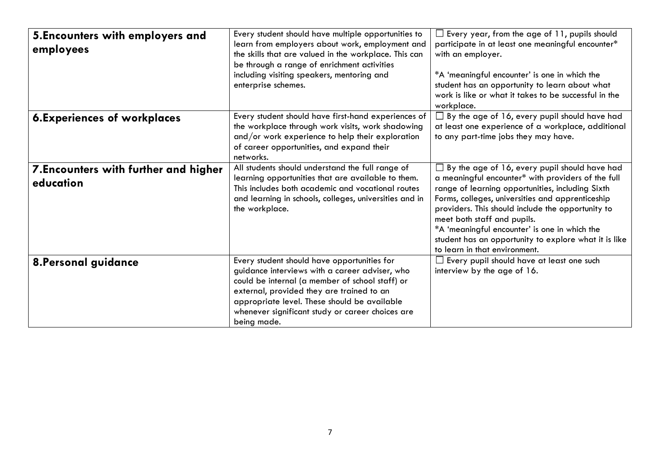| 5. Encounters with employers and<br>employees      | Every student should have multiple opportunities to<br>learn from employers about work, employment and<br>the skills that are valued in the workplace. This can<br>be through a range of enrichment activities<br>including visiting speakers, mentoring and                                                     | $\Box$ Every year, from the age of 11, pupils should<br>participate in at least one meaningful encounter*<br>with an employer.<br>*A 'meaningful encounter' is one in which the                                                                                                                                                                                                                                                                   |
|----------------------------------------------------|------------------------------------------------------------------------------------------------------------------------------------------------------------------------------------------------------------------------------------------------------------------------------------------------------------------|---------------------------------------------------------------------------------------------------------------------------------------------------------------------------------------------------------------------------------------------------------------------------------------------------------------------------------------------------------------------------------------------------------------------------------------------------|
|                                                    | enterprise schemes.                                                                                                                                                                                                                                                                                              | student has an opportunity to learn about what<br>work is like or what it takes to be successful in the<br>workplace.                                                                                                                                                                                                                                                                                                                             |
| <b>6.Experiences of workplaces</b>                 | Every student should have first-hand experiences of<br>the workplace through work visits, work shadowing<br>and/or work experience to help their exploration<br>of career opportunities, and expand their<br>networks.                                                                                           | $\Box$ By the age of 16, every pupil should have had<br>at least one experience of a workplace, additional<br>to any part-time jobs they may have.                                                                                                                                                                                                                                                                                                |
| 7. Encounters with further and higher<br>education | All students should understand the full range of<br>learning opportunities that are available to them.<br>This includes both academic and vocational routes<br>and learning in schools, colleges, universities and in<br>the workplace.                                                                          | $\Box$ By the age of 16, every pupil should have had<br>a meaningful encounter* with providers of the full<br>range of learning opportunities, including Sixth<br>Forms, colleges, universities and apprenticeship<br>providers. This should include the opportunity to<br>meet both staff and pupils.<br>*A 'meaningful encounter' is one in which the<br>student has an opportunity to explore what it is like<br>to learn in that environment. |
| 8. Personal guidance                               | Every student should have opportunities for<br>guidance interviews with a career adviser, who<br>could be internal (a member of school staff) or<br>external, provided they are trained to an<br>appropriate level. These should be available<br>whenever significant study or career choices are<br>being made. | $\Box$ Every pupil should have at least one such<br>interview by the age of 16.                                                                                                                                                                                                                                                                                                                                                                   |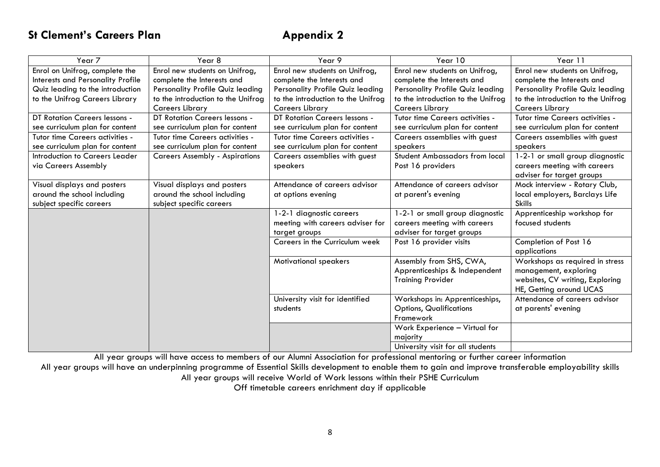## **St Clement's Careers Plan Appendix 2**

| Year 7                               | Year 8                                | Year 9                               | Year 10                                 | Year 11                            |
|--------------------------------------|---------------------------------------|--------------------------------------|-----------------------------------------|------------------------------------|
| Enrol on Unifrog, complete the       | Enrol new students on Unifrog,        | Enrol new students on Unifrog,       | Enrol new students on Unifrog,          | Enrol new students on Unifrog,     |
| Interests and Personality Profile    | complete the Interests and            | complete the Interests and           | complete the Interests and              | complete the Interests and         |
| Quiz leading to the introduction     | Personality Profile Quiz leading      | Personality Profile Quiz leading     | <b>Personality Profile Quiz leading</b> | Personality Profile Quiz leading   |
| to the Unifrog Careers Library       | to the introduction to the Unifrog    | to the introduction to the Unifrog   | to the introduction to the Unifrog      | to the introduction to the Unifrog |
|                                      | <b>Careers Library</b>                | <b>Careers Library</b>               | <b>Careers Library</b>                  | <b>Careers Library</b>             |
| <b>DT Rotation Careers lessons -</b> | <b>DT Rotation Careers lessons -</b>  | <b>DT Rotation Careers lessons -</b> | Tutor time Careers activities -         | Tutor time Careers activities -    |
| see curriculum plan for content      | see curriculum plan for content       | see curriculum plan for content      | see curriculum plan for content         | see curriculum plan for content    |
| Tutor time Careers activities -      | Tutor time Careers activities -       | Tutor time Careers activities -      | Careers assemblies with guest           | Careers assemblies with guest      |
| see curriculum plan for content      | see curriculum plan for content       | see curriculum plan for content      | speakers                                | speakers                           |
| Introduction to Careers Leader       | <b>Careers Assembly - Aspirations</b> | Careers assemblies with guest        | <b>Student Ambassadors from local</b>   | 1-2-1 or small group diagnostic    |
| via Careers Assembly                 |                                       | speakers                             | Post 16 providers                       | careers meeting with careers       |
|                                      |                                       |                                      |                                         | adviser for target groups          |
| Visual displays and posters          | Visual displays and posters           | Attendance of careers advisor        | Attendance of careers advisor           | Mock interview - Rotary Club,      |
| around the school including          | around the school including           | at options evening                   | at parent's evening                     | local employers, Barclays Life     |
| subject specific careers             | subject specific careers              |                                      |                                         | <b>Skills</b>                      |
|                                      |                                       | 1-2-1 diagnostic careers             | 1-2-1 or small group diagnostic         | Apprenticeship workshop for        |
|                                      |                                       | meeting with careers adviser for     | careers meeting with careers            | focused students                   |
|                                      |                                       | target groups                        | adviser for target groups               |                                    |
|                                      |                                       | Careers in the Curriculum week       | Post 16 provider visits                 | Completion of Post 16              |
|                                      |                                       |                                      |                                         | applications                       |
|                                      |                                       | <b>Motivational speakers</b>         | Assembly from SHS, CWA,                 | Workshops as required in stress    |
|                                      |                                       |                                      | Apprenticeships & Independent           | management, exploring              |
|                                      |                                       |                                      | <b>Training Provider</b>                | websites, CV writing, Exploring    |
|                                      |                                       |                                      |                                         | HE, Getting around UCAS            |
|                                      |                                       | University visit for identified      | Workshops in: Apprenticeships,          | Attendance of careers advisor      |
|                                      |                                       | students                             | <b>Options, Qualifications</b>          | at parents' evening                |
|                                      |                                       |                                      | Framework                               |                                    |
|                                      |                                       |                                      | Work Experience - Virtual for           |                                    |
|                                      |                                       |                                      | majority                                |                                    |
|                                      |                                       |                                      | University visit for all students       |                                    |

All year groups will have access to members of our Alumni Association for professional mentoring or further career information

All year groups will have an underpinning programme of Essential Skills development to enable them to gain and improve transferable employability skills All year groups will receive World of Work lessons within their PSHE Curriculum

Off timetable careers enrichment day if applicable